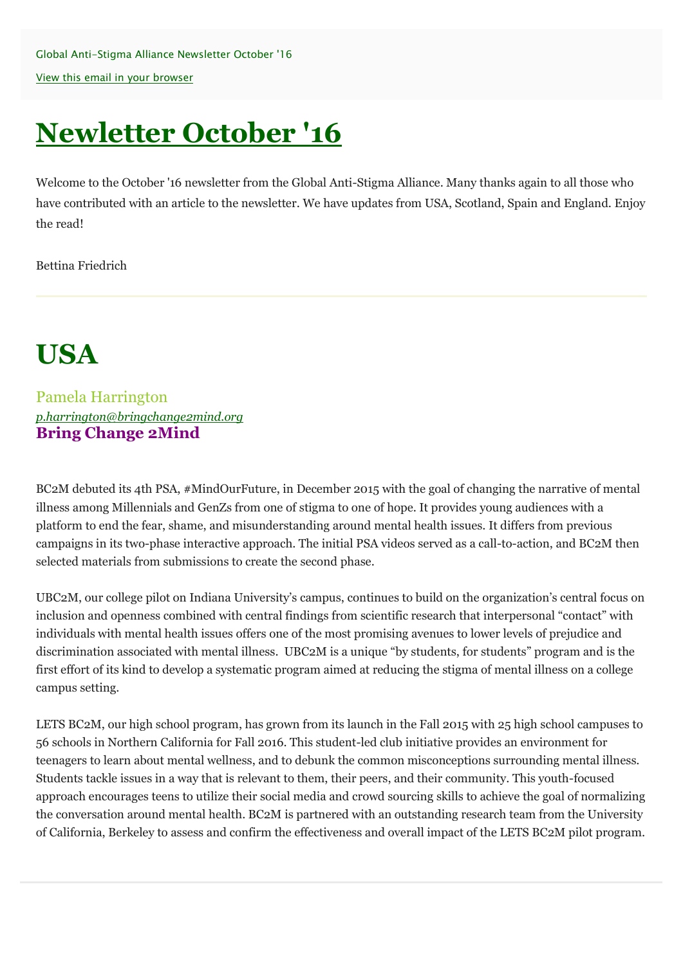Global Anti-Stigma Alliance Newsletter October '16 [View this email in your browser](http://us3.campaign-archive1.com/?u=16552c7ea14c96374c3f9859c&id=c4d193f49d&e=6c3997dc93)

# **Newletter October '16**

Welcome to the October '16 newsletter from the Global Anti-Stigma Alliance. Many thanks again to all those who have contributed with an article to the newsletter. We have updates from USA, Scotland, Spain and England. Enjoy the read!

Bettina Friedrich

# **USA**

Pamela Harrington *[p.harrington@bringchange2mind.org](mailto:p.harrington@bringchange2mind.org)* **Bring Change 2Mind**

BC2M debuted its 4th PSA, #MindOurFuture, in December 2015 with the goal of changing the narrative of mental illness among Millennials and GenZs from one of stigma to one of hope. It provides young audiences with a platform to end the fear, shame, and misunderstanding around mental health issues. It differs from previous campaigns in its two-phase interactive approach. The initial PSA videos served as a call-to-action, and BC2M then selected materials from submissions to create the second phase.

UBC2M, our college pilot on Indiana University's campus, continues to build on the organization's central focus on inclusion and openness combined with central findings from scientific research that interpersonal "contact" with individuals with mental health issues offers one of the most promising avenues to lower levels of prejudice and discrimination associated with mental illness. UBC2M is a unique "by students, for students" program and is the first effort of its kind to develop a systematic program aimed at reducing the stigma of mental illness on a college campus setting.

LETS BC2M, our high school program, has grown from its launch in the Fall 2015 with 25 high school campuses to 56 schools in Northern California for Fall 2016. This student-led club initiative provides an environment for teenagers to learn about mental wellness, and to debunk the common misconceptions surrounding mental illness. Students tackle issues in a way that is relevant to them, their peers, and their community. This youth-focused approach encourages teens to utilize their social media and crowd sourcing skills to achieve the goal of normalizing the conversation around mental health. BC2M is partnered with an outstanding research team from the University of California, Berkeley to assess and confirm the effectiveness and overall impact of the LETS BC2M pilot program.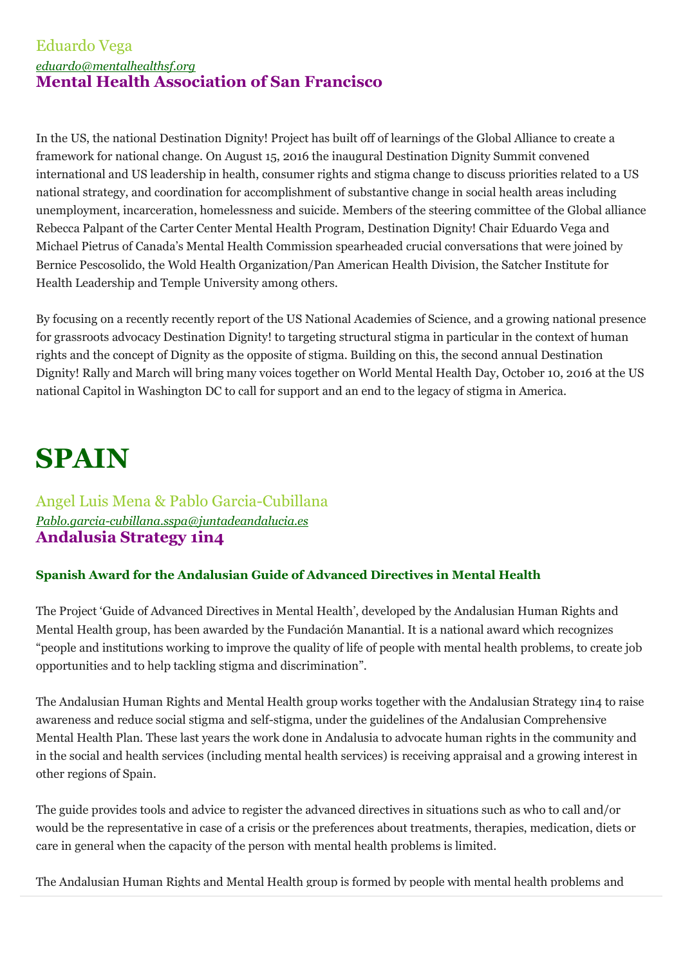### Eduardo Vega *[eduardo@mentalhealthsf.org](mailto:p.harrington@bringchange2mind.org)* **Mental Health Association of San Francisco**

In the US, the national Destination Dignity! Project has built off of learnings of the Global Alliance to create a framework for national change. On August 15, 2016 the inaugural Destination Dignity Summit convened international and US leadership in health, consumer rights and stigma change to discuss priorities related to a US national strategy, and coordination for accomplishment of substantive change in social health areas including unemployment, incarceration, homelessness and suicide. Members of the steering committee of the Global alliance Rebecca Palpant of the Carter Center Mental Health Program, Destination Dignity! Chair Eduardo Vega and Michael Pietrus of Canada's Mental Health Commission spearheaded crucial conversations that were joined by Bernice Pescosolido, the Wold Health Organization/Pan American Health Division, the Satcher Institute for Health Leadership and Temple University among others.

By focusing on a recently recently report of the US National Academies of Science, and a growing national presence for grassroots advocacy Destination Dignity! to targeting structural stigma in particular in the context of human rights and the concept of Dignity as the opposite of stigma. Building on this, the second annual Destination Dignity! Rally and March will bring many voices together on World Mental Health Day, October 10, 2016 at the US national Capitol in Washington DC to call for support and an end to the legacy of stigma in America.

## **SPAIN**

Angel Luis Mena & Pablo Garcia-Cubillana *[Pablo.garcia-cubillana.sspa@juntadeandalucia.es](mailto:Pablo.garcia-cubillana.sspa@juntadeandalucia.es)* **Andalusia Strategy 1in4**

### **Spanish Award for the Andalusian Guide of Advanced Directives in Mental Health**

The Project 'Guide of Advanced Directives in Mental Health', developed by the Andalusian Human Rights and Mental Health group, has been awarded by the Fundación Manantial. It is a national award which recognizes "people and institutions working to improve the quality of life of people with mental health problems, to create job opportunities and to help tackling stigma and discrimination".

The Andalusian Human Rights and Mental Health group works together with the Andalusian Strategy 1in4 to raise awareness and reduce social stigma and self-stigma, under the guidelines of the Andalusian Comprehensive Mental Health Plan. These last years the work done in Andalusia to advocate human rights in the community and in the social and health services (including mental health services) is receiving appraisal and a growing interest in other regions of Spain.

The guide provides tools and advice to register the advanced directives in situations such as who to call and/or would be the representative in case of a crisis or the preferences about treatments, therapies, medication, diets or care in general when the capacity of the person with mental health problems is limited.

The Andalusian Human Rights and Mental Health group is formed by people with mental health problems and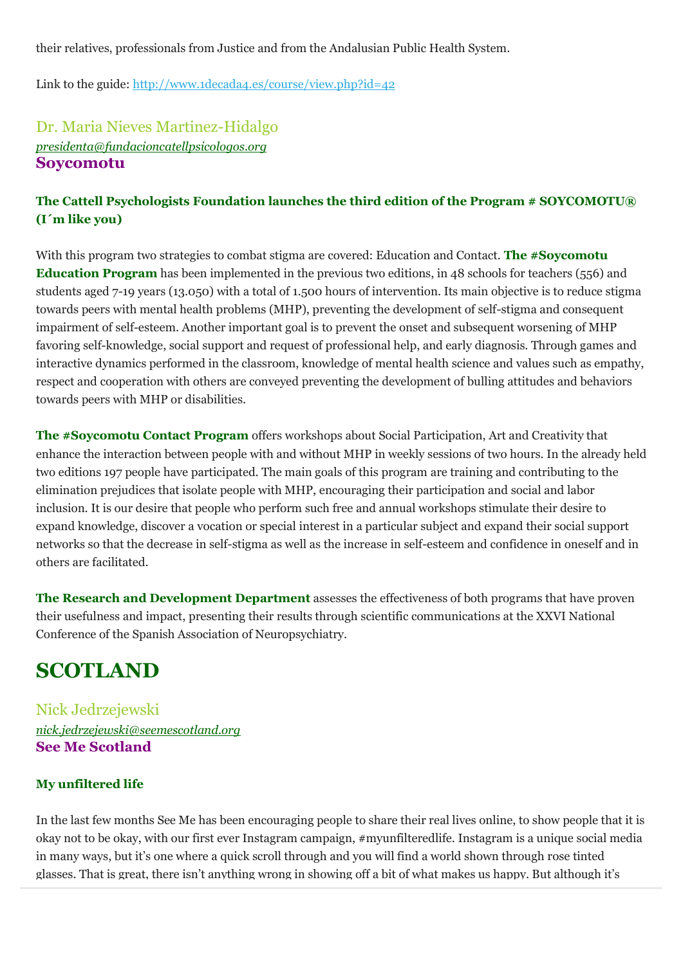their relatives, professionals from Justice and from the Andalusian Public Health System.

Link to the guide: [http://www.1decada4.es/course/view.php?id=42](http://time-to-change.us3.list-manage2.com/track/click?u=16552c7ea14c96374c3f9859c&id=395f1745a0&e=6c3997dc93)

### Dr. Maria Nieves Martinez-Hidalgo *[presidenta@fundacioncatellpsicologos.org](mailto:presidenta@fundacioncatellpsicologos.org)* **Soycomotu**

### **The Cattell Psychologists Foundation launches the third edition of the Program # SOYCOMOTU® (I´m like you)**

With this program two strategies to combat stigma are covered: Education and Contact. **The #Soycomotu Education Program** has been implemented in the previous two editions, in 48 schools for teachers (556) and students aged 7-19 years (13.050) with a total of 1.500 hours of intervention. Its main objective is to reduce stigma towards peers with mental health problems (MHP), preventing the development of self-stigma and consequent impairment of self-esteem. Another important goal is to prevent the onset and subsequent worsening of MHP favoring self-knowledge, social support and request of professional help, and early diagnosis. Through games and interactive dynamics performed in the classroom, knowledge of mental health science and values such as empathy, respect and cooperation with others are conveyed preventing the development of bulling attitudes and behaviors towards peers with MHP or disabilities.

**The #Soycomotu Contact Program** offers workshops about Social Participation, Art and Creativity that enhance the interaction between people with and without MHP in weekly sessions of two hours. In the already held two editions 197 people have participated. The main goals of this program are training and contributing to the elimination prejudices that isolate people with MHP, encouraging their participation and social and labor inclusion. It is our desire that people who perform such free and annual workshops stimulate their desire to expand knowledge, discover a vocation or special interest in a particular subject and expand their social support networks so that the decrease in self-stigma as well as the increase in self-esteem and confidence in oneself and in others are facilitated.

**The Research and Development Department** assesses the effectiveness of both programs that have proven their usefulness and impact, presenting their results through scientific communications at the XXVI National Conference of the Spanish Association of Neuropsychiatry.

## **SCOTLAND**

Nick Jedrzejewski *[nick.jedrzejewski@seemescotland.org](mailto:nick.jedrzejewski@seemescotland.org)* **See Me Scotland**

### **My unfiltered life**

In the last few months See Me has been encouraging people to share their real lives online, to show people that it is okay not to be okay, with our first ever Instagram campaign, #myunfilteredlife. Instagram is a unique social media in many ways, but it's one where a quick scroll through and you will find a world shown through rose tinted glasses. That is great, there isn't anything wrong in showing off a bit of what makes us happy. But although it's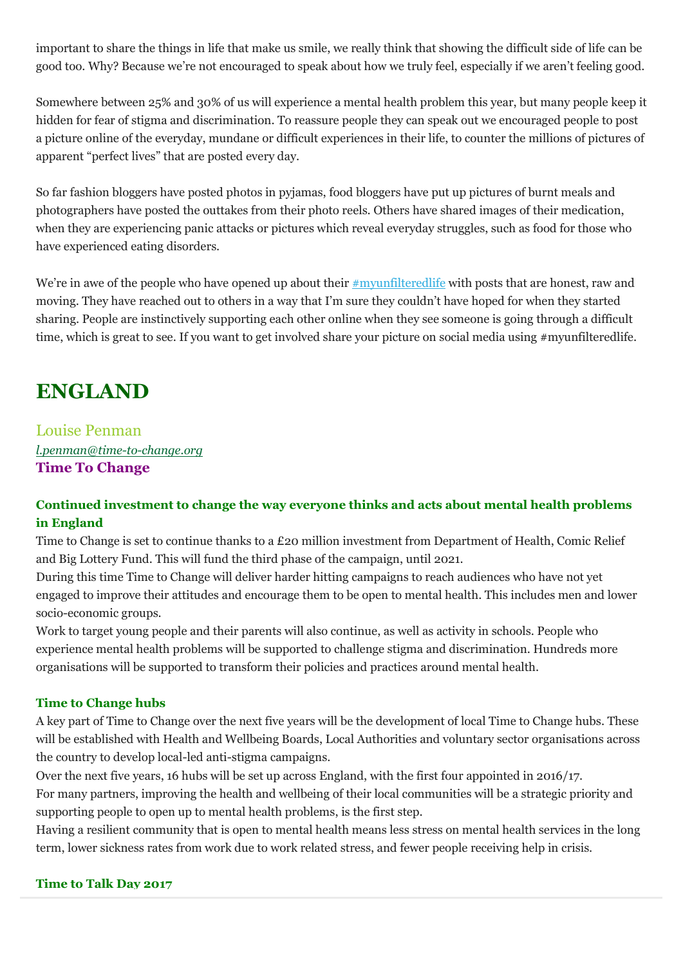important to share the things in life that make us smile, we really think that showing the difficult side of life can be good too. Why? Because we're not encouraged to speak about how we truly feel, especially if we aren't feeling good.

Somewhere between 25% and 30% of us will experience a mental health problem this year, but many people keep it hidden for fear of stigma and discrimination. To reassure people they can speak out we encouraged people to post a picture online of the everyday, mundane or difficult experiences in their life, to counter the millions of pictures of apparent "perfect lives" that are posted every day.

So far fashion bloggers have posted photos in pyjamas, food bloggers have put up pictures of burnt meals and photographers have posted the outtakes from their photo reels. Others have shared images of their medication, when they are experiencing panic attacks or pictures which reveal everyday struggles, such as food for those who have experienced eating disorders.

We're in awe of the people who have opened up about their [#myunfilteredlife](http://time-to-change.us3.list-manage.com/track/click?u=16552c7ea14c96374c3f9859c&id=aa335bb1d1&e=6c3997dc93) with posts that are honest, raw and moving. They have reached out to others in a way that I'm sure they couldn't have hoped for when they started sharing. People are instinctively supporting each other online when they see someone is going through a difficult time, which is great to see. If you want to get involved share your picture on social media using #myunfilteredlife.

## **ENGLAND**

Louise Penman *[l.penman@time-to-change.org](mailto:l.penman@time-to-change.org)* **Time To Change**

### **Continued investment to change the way everyone thinks and acts about mental health problems in England**

Time to Change is set to continue thanks to a £20 million investment from Department of Health, Comic Relief and Big Lottery Fund. This will fund the third phase of the campaign, until 2021.

During this time Time to Change will deliver harder hitting campaigns to reach audiences who have not yet engaged to improve their attitudes and encourage them to be open to mental health. This includes men and lower socio-economic groups.

Work to target young people and their parents will also continue, as well as activity in schools. People who experience mental health problems will be supported to challenge stigma and discrimination. Hundreds more organisations will be supported to transform their policies and practices around mental health.

#### **Time to Change hubs**

A key part of Time to Change over the next five years will be the development of local Time to Change hubs. These will be established with Health and Wellbeing Boards, Local Authorities and voluntary sector organisations across the country to develop local-led anti-stigma campaigns.

Over the next five years, 16 hubs will be set up across England, with the first four appointed in 2016/17. For many partners, improving the health and wellbeing of their local communities will be a strategic priority and supporting people to open up to mental health problems, is the first step.

Having a resilient community that is open to mental health means less stress on mental health services in the long term, lower sickness rates from work due to work related stress, and fewer people receiving help in crisis.

#### **Time to Talk Day 2017**